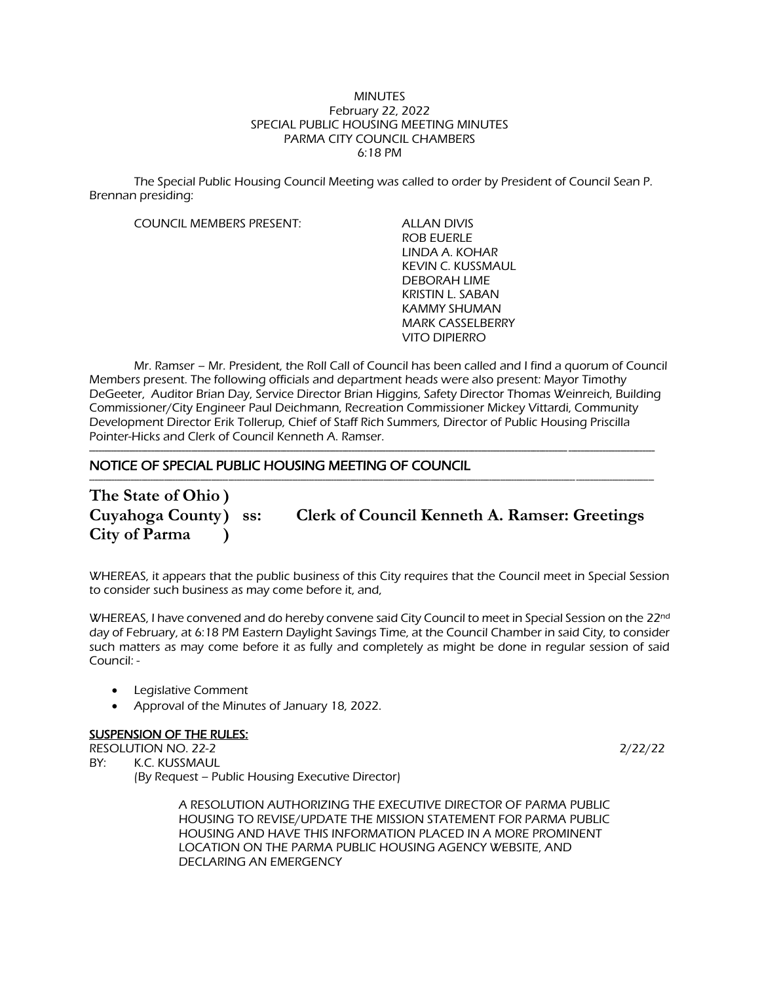#### **MINUTES** February 22, 2022 SPECIAL PUBLIC HOUSING MEETING MINUTES PARMA CITY COUNCIL CHAMBERS 6:18 PM

The Special Public Housing Council Meeting was called to order by President of Council Sean P. Brennan presiding:

COUNCIL MEMBERS PRESENT: ALLAN DIVIS

ROB EUERLE LINDA A. KOHAR KEVIN C. KUSSMAUL DEBORAH LIME KRISTIN L. SABAN KAMMY SHUMAN MARK CASSELBERRY VITO DIPIERRO

Mr. Ramser – Mr. President, the Roll Call of Council has been called and I find a quorum of Council Members present. The following officials and department heads were also present: Mayor Timothy DeGeeter, Auditor Brian Day, Service Director Brian Higgins, Safety Director Thomas Weinreich, Building Commissioner/City Engineer Paul Deichmann, Recreation Commissioner Mickey Vittardi, Community Development Director Erik Tollerup, Chief of Staff Rich Summers, Director of Public Housing Priscilla Pointer-Hicks and Clerk of Council Kenneth A. Ramser.

---------------------------------------------------------------------------------------------------------------------------------------------------------------------------------------

### NOTICE OF SPECIAL PUBLIC HOUSING MEETING OF COUNCIL

----------------------------------------------------------------------------------------------------------------------------------------------------------------------------------------------------------- **The State of Ohio ) City of Parma )**

**Cuyahoga County) ss: Clerk of Council Kenneth A. Ramser: Greetings**

WHEREAS, it appears that the public business of this City requires that the Council meet in Special Session to consider such business as may come before it, and,

WHEREAS, I have convened and do hereby convene said City Council to meet in Special Session on the 22<sup>nd</sup> day of February, at 6:18 PM Eastern Daylight Savings Time, at the Council Chamber in said City, to consider such matters as may come before it as fully and completely as might be done in regular session of said Council: -

- Legislative Comment
- Approval of the Minutes of January 18, 2022.

### **SUSPENSION OF THE RULES:**

RESOLUTION NO. 22-2 2/22/22

BY: K.C. KUSSMAUL (By Request – Public Housing Executive Director)

> A RESOLUTION AUTHORIZING THE EXECUTIVE DIRECTOR OF PARMA PUBLIC HOUSING TO REVISE/UPDATE THE MISSION STATEMENT FOR PARMA PUBLIC HOUSING AND HAVE THIS INFORMATION PLACED IN A MORE PROMINENT LOCATION ON THE PARMA PUBLIC HOUSING AGENCY WEBSITE, AND DECLARING AN EMERGENCY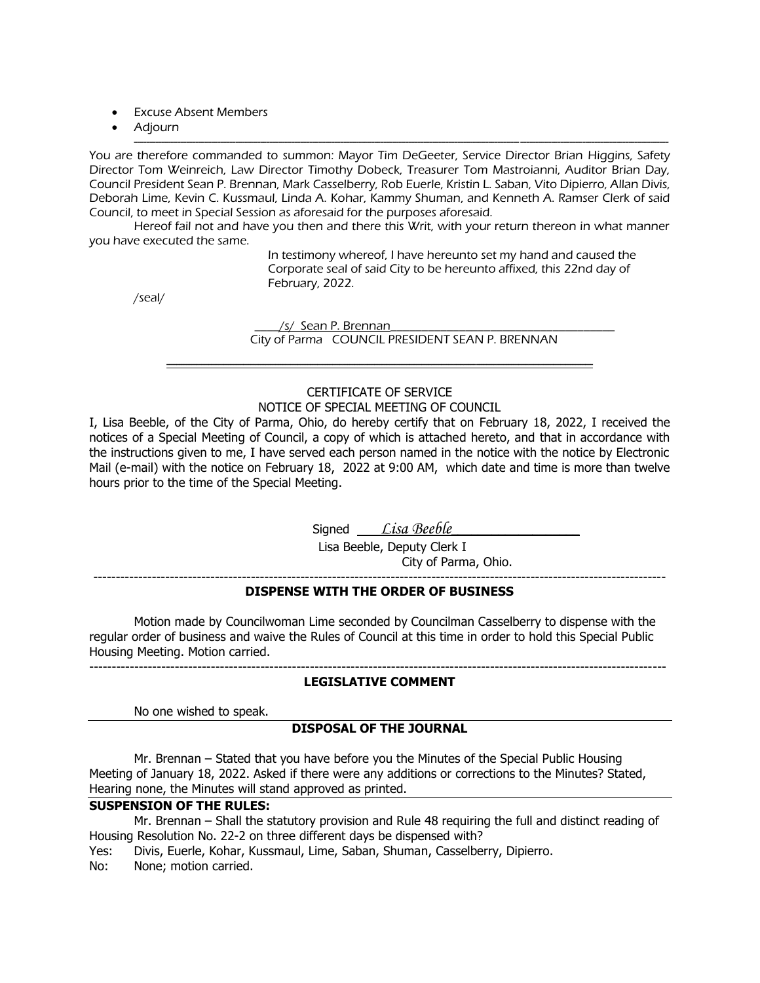- Excuse Absent Members
- Adjourn

----------------------------------------------------------------------------------------------------------------------------------------------------------------------------- You are therefore commanded to summon: Mayor Tim DeGeeter, Service Director Brian Higgins, Safety Director Tom Weinreich, Law Director Timothy Dobeck, Treasurer Tom Mastroianni, Auditor Brian Day, Council President Sean P. Brennan, Mark Casselberry, Rob Euerle, Kristin L. Saban, Vito Dipierro, Allan Divis, Deborah Lime, Kevin C. Kussmaul, Linda A. Kohar, Kammy Shuman, and Kenneth A. Ramser Clerk of said Council, to meet in Special Session as aforesaid for the purposes aforesaid.

Hereof fail not and have you then and there this Writ, with your return thereon in what manner you have executed the same.

> In testimony whereof, I have hereunto set my hand and caused the Corporate seal of said City to be hereunto affixed, this 22nd day of February, 2022.

/seal/

/s/ Sean P. Brennan

City of Parma COUNCIL PRESIDENT SEAN P. BRENNAN

# CERTIFICATE OF SERVICE

----------------------------------------------------------------------------------------------------------------------------------------------------------------------------

NOTICE OF SPECIAL MEETING OF COUNCIL

I, Lisa Beeble, of the City of Parma, Ohio, do hereby certify that on February 18, 2022, I received the notices of a Special Meeting of Council, a copy of which is attached hereto, and that in accordance with the instructions given to me, I have served each person named in the notice with the notice by Electronic Mail (e-mail) with the notice on February 18, 2022 at 9:00 AM, which date and time is more than twelve hours prior to the time of the Special Meeting.

Signed *Lisa Beeble* 

 Lisa Beeble, Deputy Clerk I City of Parma, Ohio.

-------------------------------------------------------------------------------------------------------------------------------

### **DISPENSE WITH THE ORDER OF BUSINESS**

Motion made by Councilwoman Lime seconded by Councilman Casselberry to dispense with the regular order of business and waive the Rules of Council at this time in order to hold this Special Public Housing Meeting. Motion carried.

--------------------------------------------------------------------------------------------------------------------------------

### **LEGISLATIVE COMMENT**

No one wished to speak.

### **DISPOSAL OF THE JOURNAL**

Mr. Brennan – Stated that you have before you the Minutes of the Special Public Housing Meeting of January 18, 2022. Asked if there were any additions or corrections to the Minutes? Stated, Hearing none, the Minutes will stand approved as printed.

### **SUSPENSION OF THE RULES:**

Mr. Brennan – Shall the statutory provision and Rule 48 requiring the full and distinct reading of Housing Resolution No. 22-2 on three different days be dispensed with?

Yes: Divis, Euerle, Kohar, Kussmaul, Lime, Saban, Shuman, Casselberry, Dipierro.

No: None; motion carried.